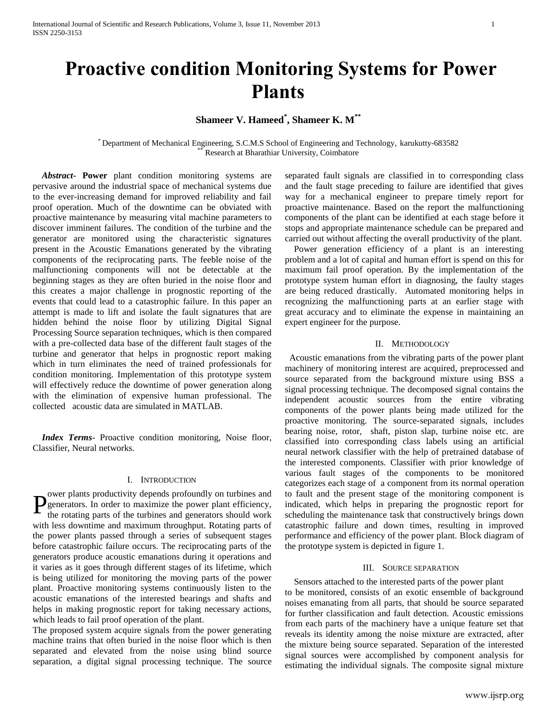# **Proactive condition Monitoring Systems for Power Plants**

## **Shameer V. Hameed\* , Shameer K. M\*\***

\* Department of Mechanical Engineering, S.C.M.S School of Engineering and Technology, karukutty-683582 Research at Bharathiar University, Coimbatore

 *Abstract***- Power** plant condition monitoring systems are pervasive around the industrial space of mechanical systems due to the ever-increasing demand for improved reliability and fail proof operation. Much of the downtime can be obviated with proactive maintenance by measuring vital machine parameters to discover imminent failures. The condition of the turbine and the generator are monitored using the characteristic signatures present in the Acoustic Emanations generated by the vibrating components of the reciprocating parts. The feeble noise of the malfunctioning components will not be detectable at the beginning stages as they are often buried in the noise floor and this creates a major challenge in prognostic reporting of the events that could lead to a catastrophic failure. In this paper an attempt is made to lift and isolate the fault signatures that are hidden behind the noise floor by utilizing Digital Signal Processing Source separation techniques, which is then compared with a pre-collected data base of the different fault stages of the turbine and generator that helps in prognostic report making which in turn eliminates the need of trained professionals for condition monitoring. Implementation of this prototype system will effectively reduce the downtime of power generation along with the elimination of expensive human professional. The collected acoustic data are simulated in MATLAB.

 *Index Terms*- Proactive condition monitoring, Noise floor, Classifier, Neural networks.

#### I. INTRODUCTION

ower plants productivity depends profoundly on turbines and generators. In order to maximize the power plant efficiency, the rotating parts of the turbines and generators should work with less downtime and maximum throughput. Rotating parts of the power plants passed through a series of subsequent stages before catastrophic failure occurs. The reciprocating parts of the generators produce acoustic emanations during it operations and it varies as it goes through different stages of its lifetime, which is being utilized for monitoring the moving parts of the power plant. Proactive monitoring systems continuously listen to the acoustic emanations of the interested bearings and shafts and helps in making prognostic report for taking necessary actions, which leads to fail proof operation of the plant. P

The proposed system acquire signals from the power generating machine trains that often buried in the noise floor which is then separated and elevated from the noise using blind source separation, a digital signal processing technique. The source separated fault signals are classified in to corresponding class and the fault stage preceding to failure are identified that gives way for a mechanical engineer to prepare timely report for proactive maintenance. Based on the report the malfunctioning components of the plant can be identified at each stage before it stops and appropriate maintenance schedule can be prepared and carried out without affecting the overall productivity of the plant.

 Power generation efficiency of a plant is an interesting problem and a lot of capital and human effort is spend on this for maximum fail proof operation. By the implementation of the prototype system human effort in diagnosing, the faulty stages are being reduced drastically. Automated monitoring helps in recognizing the malfunctioning parts at an earlier stage with great accuracy and to eliminate the expense in maintaining an expert engineer for the purpose.

## II. METHODOLOGY

 Acoustic emanations from the vibrating parts of the power plant machinery of monitoring interest are acquired, preprocessed and source separated from the background mixture using BSS a signal processing technique. The decomposed signal contains the independent acoustic sources from the entire vibrating components of the power plants being made utilized for the proactive monitoring. The source-separated signals, includes bearing noise, rotor, shaft, piston slap, turbine noise etc. are classified into corresponding class labels using an artificial neural network classifier with the help of pretrained database of the interested components. Classifier with prior knowledge of various fault stages of the components to be monitored categorizes each stage of a component from its normal operation to fault and the present stage of the monitoring component is indicated, which helps in preparing the prognostic report for scheduling the maintenance task that constructively brings down catastrophic failure and down times, resulting in improved performance and efficiency of the power plant. Block diagram of the prototype system is depicted in figure 1.

## III. SOURCE SEPARATION

 Sensors attached to the interested parts of the power plant to be monitored, consists of an exotic ensemble of background noises emanating from all parts, that should be source separated for further classification and fault detection. Acoustic emissions from each parts of the machinery have a unique feature set that reveals its identity among the noise mixture are extracted, after the mixture being source separated. Separation of the interested signal sources were accomplished by component analysis for estimating the individual signals. The composite signal mixture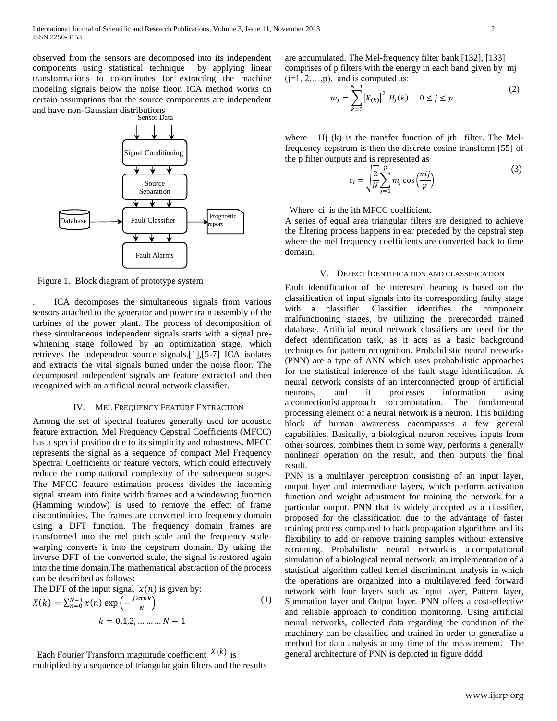observed from the sensors are decomposed into its independent components using statistical technique by applying linear transformations to co-ordinates for extracting the machine modeling signals below the noise floor. ICA method works on certain assumptions that the source components are independent and have non-Gaussian distributions



Figure 1. Block diagram of prototype system

. ICA decomposes the simultaneous signals from various sensors attached to the generator and power train assembly of the turbines of the power plant. The process of decomposition of these simultaneous independent signals starts with a signal prewhitening stage followed by an optimization stage, which retrieves the independent source signals.[1],[5-7] ICA isolates and extracts the vital signals buried under the noise floor. The decomposed independent signals are feature extracted and then recognized with an artificial neural network classifier.

#### IV. MEL FREQUENCY FEATURE EXTRACTION

Among the set of spectral features generally used for acoustic feature extraction, Mel Frequency Cepstral Coefficients (MFCC) has a special position due to its simplicity and robustness. MFCC represents the signal as a sequence of compact Mel Frequency Spectral Coefficients or feature vectors, which could effectively reduce the computational complexity of the subsequent stages. The MFCC feature estimation process divides the incoming signal stream into finite width frames and a windowing function (Hamming window) is used to remove the effect of frame discontinuities. The frames are converted into frequency domain using a DFT function. The frequency domain frames are transformed into the mel pitch scale and the frequency scalewarping converts it into the cepstrum domain. By taking the inverse DFT of the converted scale, the signal is restored again into the time domain.The mathematical abstraction of the process can be described as follows:

The DFT of the input signal  $x(n)$  is given by:  $X(k) = \sum_{n=0}^{N-1} x(n) \exp \left(-\frac{N}{2}\right)$  $_{n=0}^{N-1} x(n) \exp \left(-\frac{j2\pi n k}{N}\right)$ (1)  $k = 0.1.2......N - 1$ 

Each Fourier Transform magnitude coefficient  $X(k)$  is

multiplied by a sequence of triangular gain filters and the results

are accumulated. The Mel-frequency filter bank [132], [133] comprises of p filters with the energy in each band given by mj  $(i=1, 2, \ldots, p)$ , and is computed as:

$$
m_j = \sum_{k=0}^{N-1} |X_{(k)}|^2 H_j(k) \quad 0 \le j \le p \tag{2}
$$

where Hj (k) is the transfer function of jth filter. The Melfrequency cepstrum is then the discrete cosine transform [55] of the p filter outputs and is represented as

$$
c_i = \sqrt{\frac{2}{N} \sum_{j=1}^{p} m_j \cos\left(\frac{\pi ij}{p}\right)}
$$
 (3)

Where ci is the ith MFCC coefficient.

A series of equal area triangular filters are designed to achieve the filtering process happens in ear preceded by the cepstral step where the mel frequency coefficients are converted back to time domain.

#### V. DEFECT IDENTIFICATION AND CLASSIFICATION

Fault identification of the interested bearing is based on the classification of input signals into its corresponding faulty stage with a classifier. Classifier identifies the component malfunctioning stages, by utilizing the prerecorded trained database. Artificial neural network classifiers are used for the defect identification task, as it acts as a basic background techniques for pattern recognition. Probabilistic neural networks (PNN) are a type of ANN which uses probabilistic approaches for the statistical inference of the fault stage identification. A neural network consists of an interconnected group of artificial neurons, and it processes information using a connectionist approach to computation. The fundamental processing element of a neural network is a neuron. This building block of human awareness encompasses a few general capabilities. Basically, a biological neuron receives inputs from other sources, combines them in some way, performs a generally nonlinear operation on the result, and then outputs the final result.

PNN is a multilayer perceptron consisting of an input layer, output layer and intermediate layers, which perform activation function and weight adjustment for training the network for a particular output. PNN that is widely accepted as a classifier, proposed for the classification due to the advantage of faster training process compared to back propagation algorithms and its flexibility to add or remove training samples without extensive retraining. Probabilistic neural network is a computational simulation of a biological neural network, an implementation of a statistical algorithm called kernel discriminant analysis in which the operations are organized into a multilayered feed forward network with four layers such as Input layer, Pattern layer, Summation layer and Output layer. PNN offers a cost-effective and reliable approach to condition monitoring. Using artificial neural networks, collected data regarding the condition of the machinery can be classified and trained in order to generalize a method for data analysis at any time of the measurement. The general architecture of PNN is depicted in figure dddd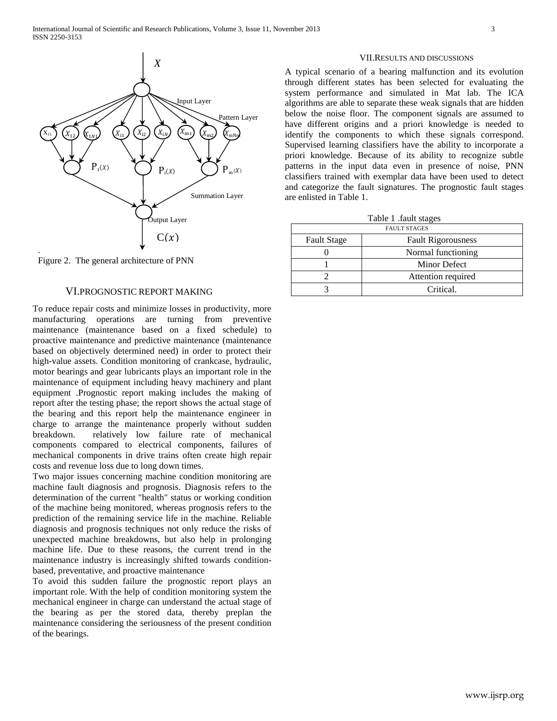

Figure 2. The general architecture of PNN

## VI.PROGNOSTIC REPORT MAKING

To reduce repair costs and minimize losses in productivity, more manufacturing operations are turning from preventive maintenance (maintenance based on a fixed schedule) to proactive maintenance and predictive maintenance (maintenance based on objectively determined need) in order to protect their high-value assets. Condition monitoring of crankcase, hydraulic, motor bearings and gear lubricants plays an important role in the maintenance of equipment including heavy machinery and plant equipment .Prognostic report making includes the making of report after the testing phase; the report shows the actual stage of the bearing and this report help the maintenance engineer in charge to arrange the maintenance properly without sudden breakdown. relatively low failure rate of mechanical components compared to electrical components, failures of mechanical components in drive trains often create high repair costs and revenue loss due to long down times.

Two major issues concerning machine condition monitoring are machine fault diagnosis and prognosis. Diagnosis refers to the determination of the current "health" status or working condition of the machine being monitored, whereas prognosis refers to the prediction of the remaining service life in the machine. Reliable diagnosis and prognosis techniques not only reduce the risks of unexpected machine breakdowns, but also help in prolonging machine life. Due to these reasons, the current trend in the maintenance industry is increasingly shifted towards conditionbased, preventative, and proactive maintenance

To avoid this sudden failure the prognostic report plays an important role. With the help of condition monitoring system the mechanical engineer in charge can understand the actual stage of the bearing as per the stored data, thereby preplan the maintenance considering the seriousness of the present condition of the bearings.

### VII.RESULTS AND DISCUSSIONS

A typical scenario of a bearing malfunction and its evolution through different states has been selected for evaluating the system performance and simulated in Mat lab. The ICA algorithms are able to separate these weak signals that are hidden below the noise floor. The component signals are assumed to have different origins and a priori knowledge is needed to identify the components to which these signals correspond. Supervised learning classifiers have the ability to incorporate a priori knowledge. Because of its ability to recognize subtle patterns in the input data even in presence of noise, PNN classifiers trained with exemplar data have been used to detect and categorize the fault signatures. The prognostic fault stages are enlisted in Table 1.

| Table 1 .fault stages |  |  |
|-----------------------|--|--|
|-----------------------|--|--|

| <b>FAULT STAGES</b> |                           |  |  |
|---------------------|---------------------------|--|--|
| <b>Fault Stage</b>  | <b>Fault Rigorousness</b> |  |  |
|                     | Normal functioning        |  |  |
|                     | Minor Defect              |  |  |
|                     | Attention required        |  |  |
|                     | Critical.                 |  |  |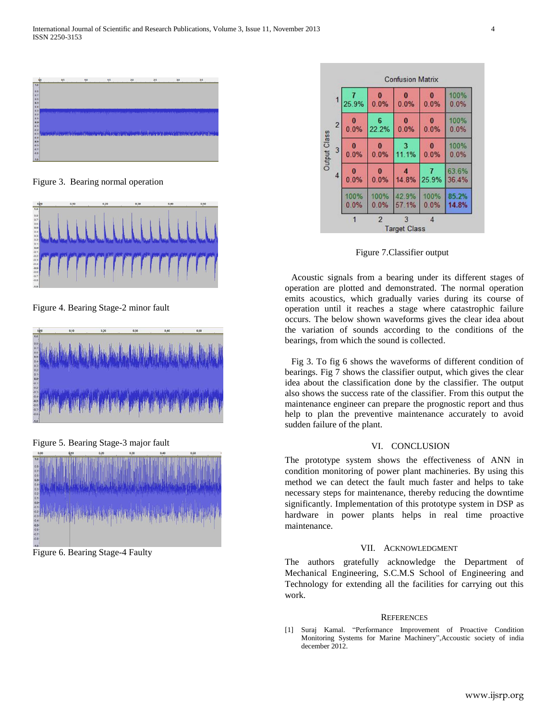

Figure 3. Bearing normal operation



Figure 4. Bearing Stage-2 minor fault



Figure 5. Bearing Stage-3 major fault



Figure 6. Bearing Stage-4 Faulty

|                |                        |                | <b>Confusion Matrix</b>  |                  |                |
|----------------|------------------------|----------------|--------------------------|------------------|----------------|
|                | 1<br>25.9%             | 0.0%           | 0.0%                     | $\bf{0}$<br>0.0% | 100%<br>0.0%   |
| $\overline{c}$ | $\bf{0}$<br>0.0%       | 6<br>22.2%     | 0.0%                     | $\bf{0}$<br>0.0% | 100%<br>0.0%   |
| Output Class   | 3<br>0.0%              | 0.0%           | 11.1%                    | 0.0%             | 100%<br>0.0%   |
|                | $\overline{4}$<br>0.0% | 0.0%           | 14.8%                    | 25.9%            | 63.6%<br>36.4% |
|                | 100%<br>0.0%           | 100%<br>0.0%   | 42.9%<br>57.1%           | 100%<br>0.0%     | 85.2%<br>14.8% |
|                |                        | $\overline{2}$ | 3<br><b>Target Class</b> | 4                |                |

Figure 7.Classifier output

Acoustic signals from a bearing under its different stages of operation are plotted and demonstrated. The normal operation emits acoustics, which gradually varies during its course of operation until it reaches a stage where catastrophic failure occurs. The below shown waveforms gives the clear idea about the variation of sounds according to the conditions of the bearings, from which the sound is collected.

Fig 3. To fig 6 shows the waveforms of different condition of bearings. Fig 7 shows the classifier output, which gives the clear idea about the classification done by the classifier. The output also shows the success rate of the classifier. From this output the maintenance engineer can prepare the prognostic report and thus help to plan the preventive maintenance accurately to avoid sudden failure of the plant.

## VI. CONCLUSION

The prototype system shows the effectiveness of ANN in condition monitoring of power plant machineries. By using this method we can detect the fault much faster and helps to take necessary steps for maintenance, thereby reducing the downtime significantly. Implementation of this prototype system in DSP as hardware in power plants helps in real time proactive maintenance.

## VII. ACKNOWLEDGMENT

The authors gratefully acknowledge the Department of Mechanical Engineering, S.C.M.S School of Engineering and Technology for extending all the facilities for carrying out this work.

#### **REFERENCES**

[1] Suraj Kamal. "Performance Improvement of Proactive Condition Monitoring Systems for Marine Machinery",Accoustic society of india december 2012.